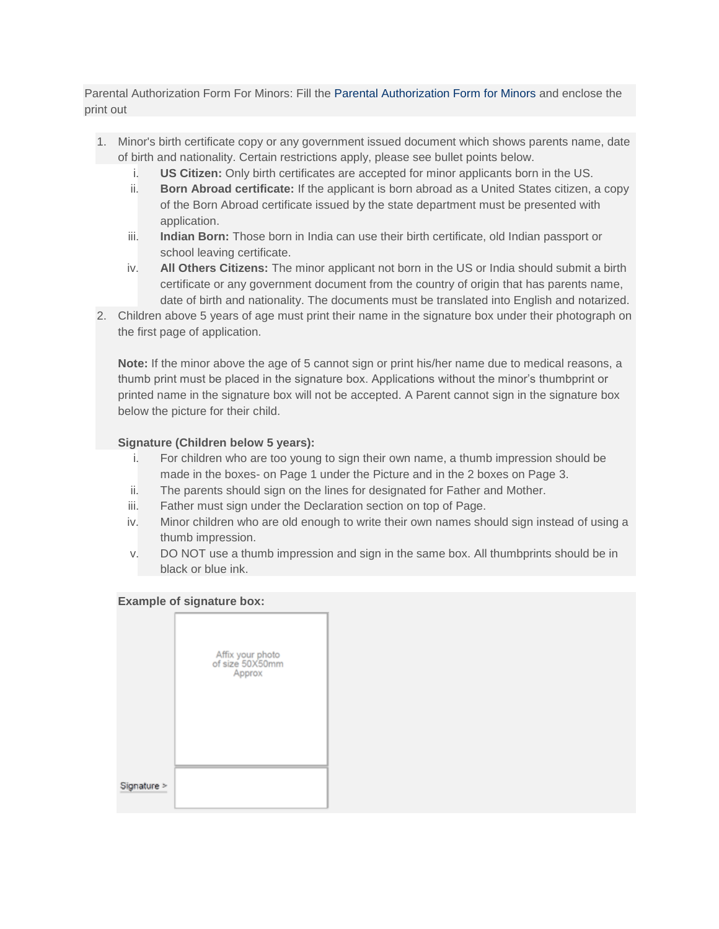Parental Authorization Form For Minors: Fill the Parental Authorization Form for Minors and enclose the print out

- 1. Minor's birth certificate copy or any government issued document which shows parents name, date of birth and nationality. Certain restrictions apply, please see bullet points below.
	- i. **US Citizen:** Only birth certificates are accepted for minor applicants born in the US.
	- ii. **Born Abroad certificate:** If the applicant is born abroad as a United States citizen, a copy of the Born Abroad certificate issued by the state department must be presented with application.
	- iii. **Indian Born:** Those born in India can use their birth certificate, old Indian passport or school leaving certificate.
	- iv. **All Others Citizens:** The minor applicant not born in the US or India should submit a birth certificate or any government document from the country of origin that has parents name, date of birth and nationality. The documents must be translated into English and notarized.
- 2. Children above 5 years of age must print their name in the signature box under their photograph on the first page of application.

**Note:** If the minor above the age of 5 cannot sign or print his/her name due to medical reasons, a thumb print must be placed in the signature box. Applications without the minor's thumbprint or printed name in the signature box will not be accepted. A Parent cannot sign in the signature box below the picture for their child.

## **Signature (Children below 5 years):**

- i. For children who are too young to sign their own name, a thumb impression should be made in the boxes- on Page 1 under the Picture and in the 2 boxes on Page 3.
- ii. The parents should sign on the lines for designated for Father and Mother.
- iii. Father must sign under the Declaration section on top of Page.
- iv. Minor children who are old enough to write their own names should sign instead of using a thumb impression.
- v. DO NOT use a thumb impression and sign in the same box. All thumbprints should be in black or blue ink.

## **Example of signature box:**

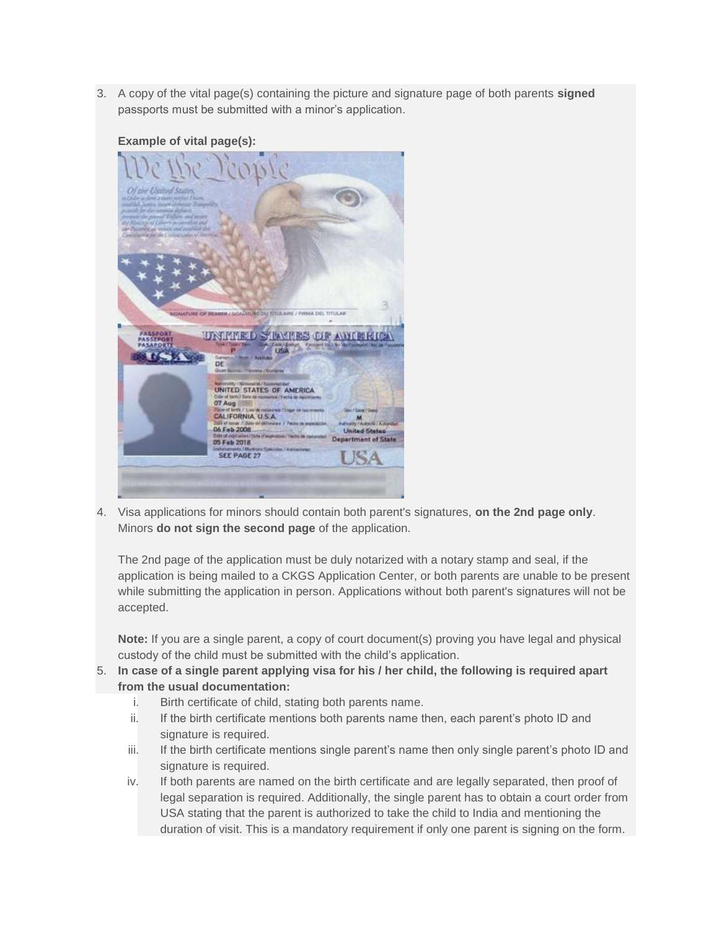3. A copy of the vital page(s) containing the picture and signature page of both parents **signed** passports must be submitted with a minor's application.



## **Example of vital page(s):**

4. Visa applications for minors should contain both parent's signatures, **on the 2nd page only**. Minors **do not sign the second page** of the application.

The 2nd page of the application must be duly notarized with a notary stamp and seal, if the application is being mailed to a CKGS Application Center, or both parents are unable to be present while submitting the application in person. Applications without both parent's signatures will not be accepted.

**Note:** If you are a single parent, a copy of court document(s) proving you have legal and physical custody of the child must be submitted with the child's application.

- 5. **In case of a single parent applying visa for his / her child, the following is required apart from the usual documentation:**
	- i. Birth certificate of child, stating both parents name.
	- ii. If the birth certificate mentions both parents name then, each parent's photo ID and signature is required.
	- iii. If the birth certificate mentions single parent's name then only single parent's photo ID and signature is required.
	- iv. If both parents are named on the birth certificate and are legally separated, then proof of legal separation is required. Additionally, the single parent has to obtain a court order from USA stating that the parent is authorized to take the child to India and mentioning the duration of visit. This is a mandatory requirement if only one parent is signing on the form.